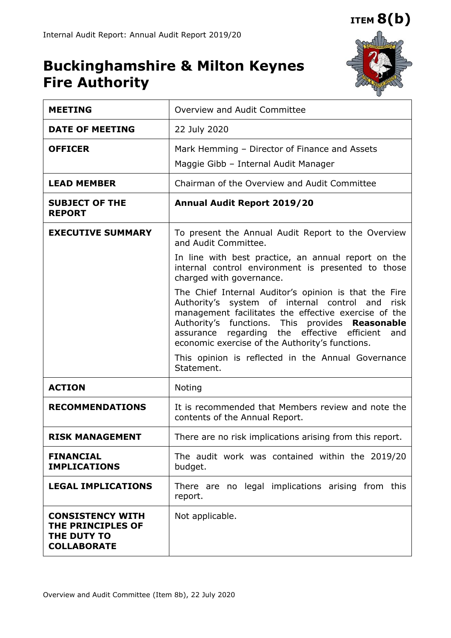## **ITEM 8(b)**

# **Buckinghamshire & Milton Keynes Fire Authority**



| <b>MEETING</b>                                                                    | Overview and Audit Committee                                                                                                                                                                                                                                                                                                                                                                |  |  |
|-----------------------------------------------------------------------------------|---------------------------------------------------------------------------------------------------------------------------------------------------------------------------------------------------------------------------------------------------------------------------------------------------------------------------------------------------------------------------------------------|--|--|
| <b>DATE OF MEETING</b>                                                            | 22 July 2020                                                                                                                                                                                                                                                                                                                                                                                |  |  |
| <b>OFFICER</b>                                                                    | Mark Hemming - Director of Finance and Assets<br>Maggie Gibb - Internal Audit Manager                                                                                                                                                                                                                                                                                                       |  |  |
| <b>LEAD MEMBER</b>                                                                | Chairman of the Overview and Audit Committee                                                                                                                                                                                                                                                                                                                                                |  |  |
| <b>SUBJECT OF THE</b><br><b>REPORT</b>                                            | Annual Audit Report 2019/20                                                                                                                                                                                                                                                                                                                                                                 |  |  |
| <b>EXECUTIVE SUMMARY</b>                                                          | To present the Annual Audit Report to the Overview<br>and Audit Committee.                                                                                                                                                                                                                                                                                                                  |  |  |
|                                                                                   | In line with best practice, an annual report on the<br>internal control environment is presented to those<br>charged with governance.                                                                                                                                                                                                                                                       |  |  |
|                                                                                   | The Chief Internal Auditor's opinion is that the Fire<br>Authority's system of internal control and<br>risk<br>management facilitates the effective exercise of the<br>Authority's functions.<br>This<br>provides Reasonable<br>assurance regarding the effective efficient<br>and<br>economic exercise of the Authority's functions.<br>This opinion is reflected in the Annual Governance |  |  |
|                                                                                   | Statement.                                                                                                                                                                                                                                                                                                                                                                                  |  |  |
| <b>ACTION</b>                                                                     | Noting                                                                                                                                                                                                                                                                                                                                                                                      |  |  |
| <b>RECOMMENDATIONS</b>                                                            | It is recommended that Members review and note the<br>contents of the Annual Report.                                                                                                                                                                                                                                                                                                        |  |  |
| <b>RISK MANAGEMENT</b>                                                            | There are no risk implications arising from this report.                                                                                                                                                                                                                                                                                                                                    |  |  |
| <b>FINANCIAL</b><br><b>IMPLICATIONS</b>                                           | The audit work was contained within the 2019/20<br>budget.                                                                                                                                                                                                                                                                                                                                  |  |  |
| <b>LEGAL IMPLICATIONS</b>                                                         | There are no legal implications arising from this<br>report.                                                                                                                                                                                                                                                                                                                                |  |  |
| <b>CONSISTENCY WITH</b><br>THE PRINCIPLES OF<br>THE DUTY TO<br><b>COLLABORATE</b> | Not applicable.                                                                                                                                                                                                                                                                                                                                                                             |  |  |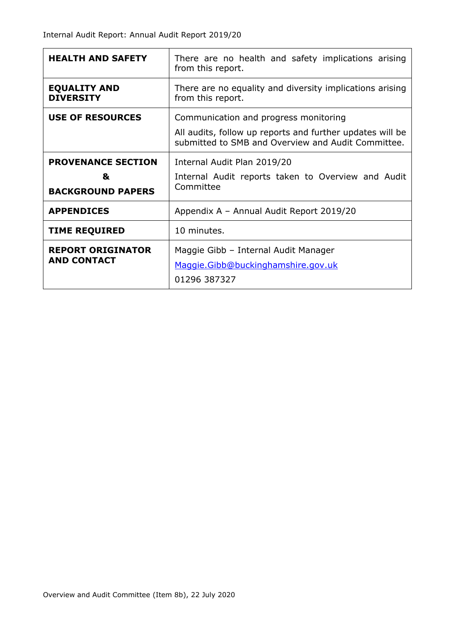| <b>HEALTH AND SAFETY</b>                                                                                                                                                            | There are no health and safety implications arising<br>from this report.                       |  |  |
|-------------------------------------------------------------------------------------------------------------------------------------------------------------------------------------|------------------------------------------------------------------------------------------------|--|--|
| <b>EQUALITY AND</b><br><b>DIVERSITY</b>                                                                                                                                             | There are no equality and diversity implications arising<br>from this report.                  |  |  |
| <b>USE OF RESOURCES</b><br>Communication and progress monitoring<br>All audits, follow up reports and further updates will be<br>submitted to SMB and Overview and Audit Committee. |                                                                                                |  |  |
| <b>PROVENANCE SECTION</b><br>&<br><b>BACKGROUND PAPERS</b>                                                                                                                          | Internal Audit Plan 2019/20<br>Internal Audit reports taken to Overview and Audit<br>Committee |  |  |
| <b>APPENDICES</b>                                                                                                                                                                   | Appendix A - Annual Audit Report 2019/20                                                       |  |  |
| <b>TIME REQUIRED</b>                                                                                                                                                                | 10 minutes.                                                                                    |  |  |
| <b>REPORT ORIGINATOR</b><br><b>AND CONTACT</b>                                                                                                                                      | Maggie Gibb - Internal Audit Manager<br>Maggie.Gibb@buckinghamshire.gov.uk<br>01296 387327     |  |  |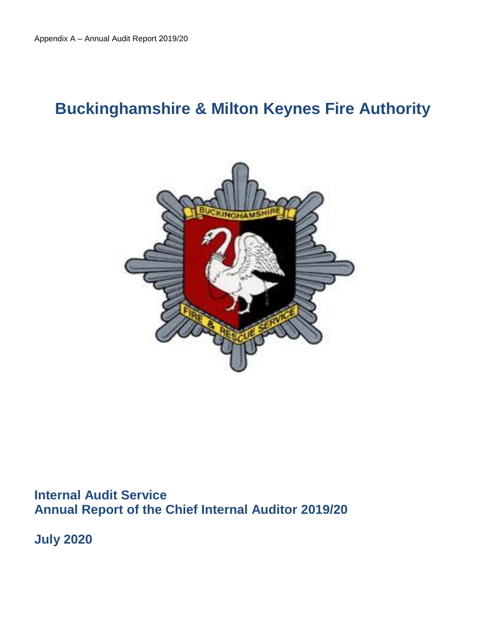# **Buckinghamshire & Milton Keynes Fire Authority**



**Internal Audit Service Annual Report of the Chief Internal Auditor 2019/20** 

**July 2020**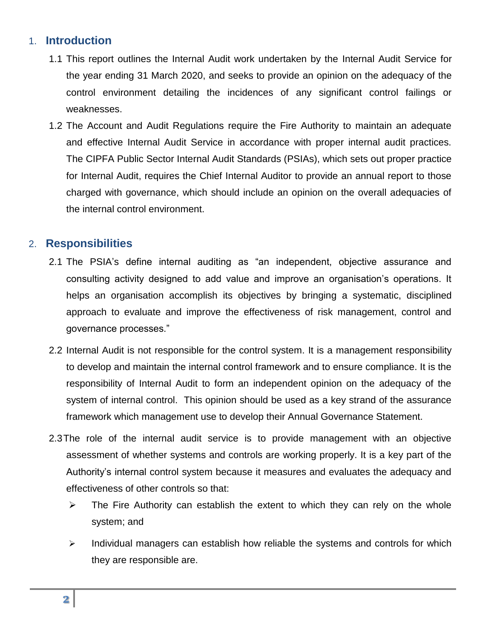#### 1. **Introduction**

- 1.1 This report outlines the Internal Audit work undertaken by the Internal Audit Service for the year ending 31 March 2020, and seeks to provide an opinion on the adequacy of the control environment detailing the incidences of any significant control failings or weaknesses.
- 1.2 The Account and Audit Regulations require the Fire Authority to maintain an adequate and effective Internal Audit Service in accordance with proper internal audit practices. The CIPFA Public Sector Internal Audit Standards (PSIAs), which sets out proper practice for Internal Audit, requires the Chief Internal Auditor to provide an annual report to those charged with governance, which should include an opinion on the overall adequacies of the internal control environment.

#### 2. **Responsibilities**

- 2.1 The PSIA's define internal auditing as "an independent, objective assurance and consulting activity designed to add value and improve an organisation's operations. It helps an organisation accomplish its objectives by bringing a systematic, disciplined approach to evaluate and improve the effectiveness of risk management, control and governance processes."
- 2.2 Internal Audit is not responsible for the control system. It is a management responsibility to develop and maintain the internal control framework and to ensure compliance. It is the responsibility of Internal Audit to form an independent opinion on the adequacy of the system of internal control. This opinion should be used as a key strand of the assurance framework which management use to develop their Annual Governance Statement.
- 2.3The role of the internal audit service is to provide management with an objective assessment of whether systems and controls are working properly. It is a key part of the Authority's internal control system because it measures and evaluates the adequacy and effectiveness of other controls so that:
	- $\triangleright$  The Fire Authority can establish the extent to which they can rely on the whole system; and
	- $\triangleright$  Individual managers can establish how reliable the systems and controls for which they are responsible are.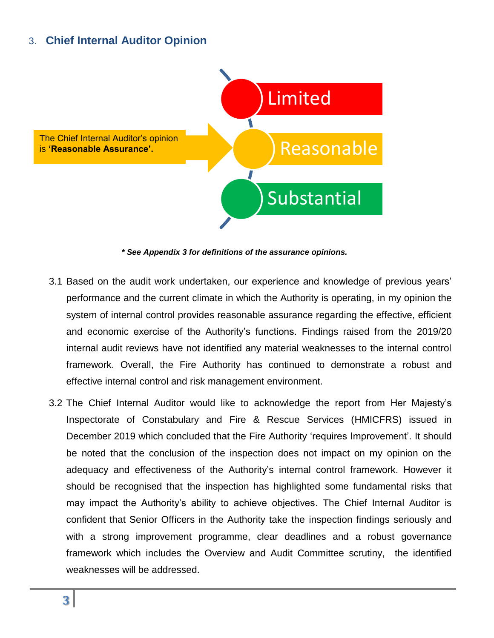### 3. **Chief Internal Auditor Opinion**



*\* See Appendix 3 for definitions of the assurance opinions.*

- 3.1 Based on the audit work undertaken, our experience and knowledge of previous years' performance and the current climate in which the Authority is operating, in my opinion the system of internal control provides reasonable assurance regarding the effective, efficient and economic exercise of the Authority's functions. Findings raised from the 2019/20 internal audit reviews have not identified any material weaknesses to the internal control framework. Overall, the Fire Authority has continued to demonstrate a robust and effective internal control and risk management environment.
- 3.2 The Chief Internal Auditor would like to acknowledge the report from Her Majesty's Inspectorate of Constabulary and Fire & Rescue Services (HMICFRS) issued in December 2019 which concluded that the Fire Authority 'requires Improvement'. It should be noted that the conclusion of the inspection does not impact on my opinion on the adequacy and effectiveness of the Authority's internal control framework. However it should be recognised that the inspection has highlighted some fundamental risks that may impact the Authority's ability to achieve objectives. The Chief Internal Auditor is confident that Senior Officers in the Authority take the inspection findings seriously and with a strong improvement programme, clear deadlines and a robust governance framework which includes the Overview and Audit Committee scrutiny, the identified weaknesses will be addressed.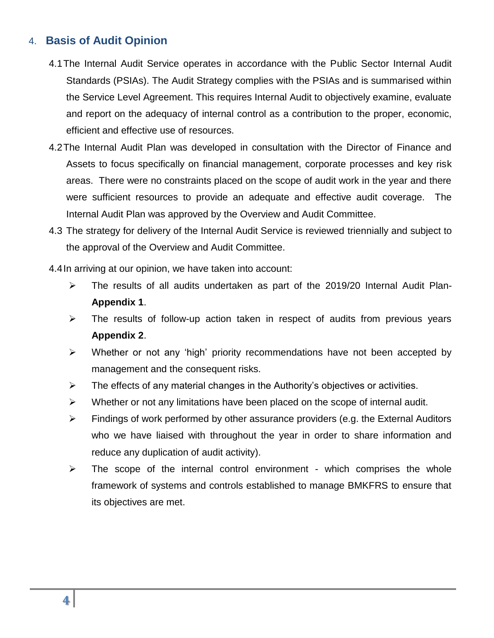### 4. **Basis of Audit Opinion**

- 4.1The Internal Audit Service operates in accordance with the Public Sector Internal Audit Standards (PSIAs). The Audit Strategy complies with the PSIAs and is summarised within the Service Level Agreement. This requires Internal Audit to objectively examine, evaluate and report on the adequacy of internal control as a contribution to the proper, economic, efficient and effective use of resources.
- 4.2The Internal Audit Plan was developed in consultation with the Director of Finance and Assets to focus specifically on financial management, corporate processes and key risk areas. There were no constraints placed on the scope of audit work in the year and there were sufficient resources to provide an adequate and effective audit coverage. The Internal Audit Plan was approved by the Overview and Audit Committee.
- 4.3 The strategy for delivery of the Internal Audit Service is reviewed triennially and subject to the approval of the Overview and Audit Committee.

4.4In arriving at our opinion, we have taken into account:

- $\triangleright$  The results of all audits undertaken as part of the 2019/20 Internal Audit Plan-**Appendix 1**.
- $\triangleright$  The results of follow-up action taken in respect of audits from previous years **Appendix 2**.
- $\triangleright$  Whether or not any 'high' priority recommendations have not been accepted by management and the consequent risks.
- $\triangleright$  The effects of any material changes in the Authority's objectives or activities.
- $\triangleright$  Whether or not any limitations have been placed on the scope of internal audit.
- $\triangleright$  Findings of work performed by other assurance providers (e.g. the External Auditors who we have liaised with throughout the year in order to share information and reduce any duplication of audit activity).
- $\triangleright$  The scope of the internal control environment which comprises the whole framework of systems and controls established to manage BMKFRS to ensure that its objectives are met.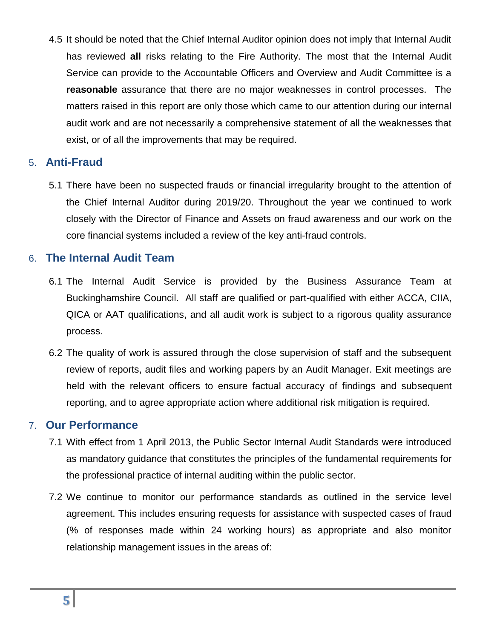4.5 It should be noted that the Chief Internal Auditor opinion does not imply that Internal Audit has reviewed **all** risks relating to the Fire Authority. The most that the Internal Audit Service can provide to the Accountable Officers and Overview and Audit Committee is a **reasonable** assurance that there are no major weaknesses in control processes. The matters raised in this report are only those which came to our attention during our internal audit work and are not necessarily a comprehensive statement of all the weaknesses that exist, or of all the improvements that may be required.

#### 5. **Anti-Fraud**

5.1 There have been no suspected frauds or financial irregularity brought to the attention of the Chief Internal Auditor during 2019/20. Throughout the year we continued to work closely with the Director of Finance and Assets on fraud awareness and our work on the core financial systems included a review of the key anti-fraud controls.

#### 6. **The Internal Audit Team**

- 6.1 The Internal Audit Service is provided by the Business Assurance Team at Buckinghamshire Council. All staff are qualified or part-qualified with either ACCA, CIIA, QICA or AAT qualifications, and all audit work is subject to a rigorous quality assurance process.
- 6.2 The quality of work is assured through the close supervision of staff and the subsequent review of reports, audit files and working papers by an Audit Manager. Exit meetings are held with the relevant officers to ensure factual accuracy of findings and subsequent reporting, and to agree appropriate action where additional risk mitigation is required.

#### 7. **Our Performance**

- 7.1 With effect from 1 April 2013, the Public Sector Internal Audit Standards were introduced as mandatory guidance that constitutes the principles of the fundamental requirements for the professional practice of internal auditing within the public sector.
- 7.2 We continue to monitor our performance standards as outlined in the service level agreement. This includes ensuring requests for assistance with suspected cases of fraud (% of responses made within 24 working hours) as appropriate and also monitor relationship management issues in the areas of: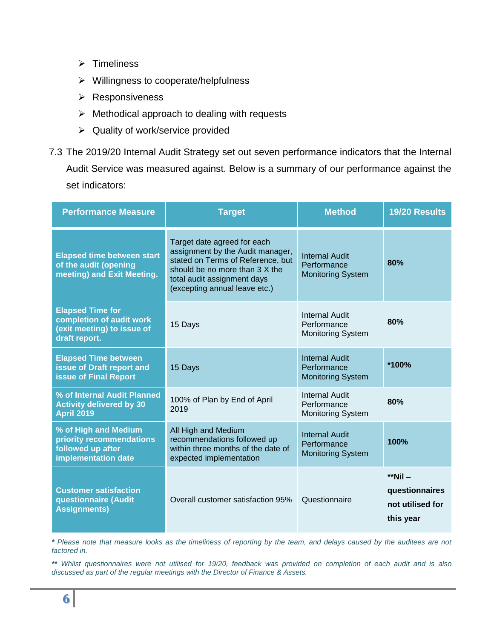- $\triangleright$  Timeliness
- $\triangleright$  Willingness to cooperate/helpfulness
- **EXEC** Responsiveness
- $\triangleright$  Methodical approach to dealing with requests
- $\triangleright$  Quality of work/service provided
- 7.3 The 2019/20 Internal Audit Strategy set out seven performance indicators that the Internal Audit Service was measured against. Below is a summary of our performance against the set indicators:

| <b>Performance Measure</b>                                                                         | <b>Method</b><br><b>Target</b>                                                                                                                                                                         |                                                                  | 19/20 Results                                                  |
|----------------------------------------------------------------------------------------------------|--------------------------------------------------------------------------------------------------------------------------------------------------------------------------------------------------------|------------------------------------------------------------------|----------------------------------------------------------------|
| <b>Elapsed time between start</b><br>of the audit (opening<br>meeting) and Exit Meeting.           | Target date agreed for each<br>assignment by the Audit manager,<br>stated on Terms of Reference, but<br>should be no more than 3 X the<br>total audit assignment days<br>(excepting annual leave etc.) | <b>Internal Audit</b><br>Performance<br><b>Monitoring System</b> | 80%                                                            |
| <b>Elapsed Time for</b><br>completion of audit work<br>(exit meeting) to issue of<br>draft report. | <b>Internal Audit</b><br>Performance<br>15 Days<br><b>Monitoring System</b>                                                                                                                            |                                                                  | 80%                                                            |
| <b>Elapsed Time between</b><br>issue of Draft report and<br><b>issue of Final Report</b>           | 15 Days                                                                                                                                                                                                | <b>Internal Audit</b><br>Performance<br><b>Monitoring System</b> | *100%                                                          |
| % of Internal Audit Planned<br><b>Activity delivered by 30</b><br><b>April 2019</b>                | <b>Internal Audit</b><br>100% of Plan by End of April<br>Performance<br>2019<br><b>Monitoring System</b>                                                                                               |                                                                  | 80%                                                            |
| % of High and Medium<br>priority recommendations<br>followed up after<br>implementation date       | All High and Medium<br>recommendations followed up<br>within three months of the date of<br>expected implementation                                                                                    | <b>Internal Audit</b><br>Performance<br><b>Monitoring System</b> | 100%                                                           |
| <b>Customer satisfaction</b><br>questionnaire (Audit<br><b>Assignments)</b>                        | Overall customer satisfaction 95%                                                                                                                                                                      | Questionnaire                                                    | $*$ Nil $-$<br>questionnaires<br>not utilised for<br>this year |

*\* Please note that measure looks as the timeliness of reporting by the team, and delays caused by the auditees are not factored in.*

*\*\* Whilst questionnaires were not utilised for 19/20, feedback was provided on completion of each audit and is also discussed as part of the regular meetings with the Director of Finance & Assets.*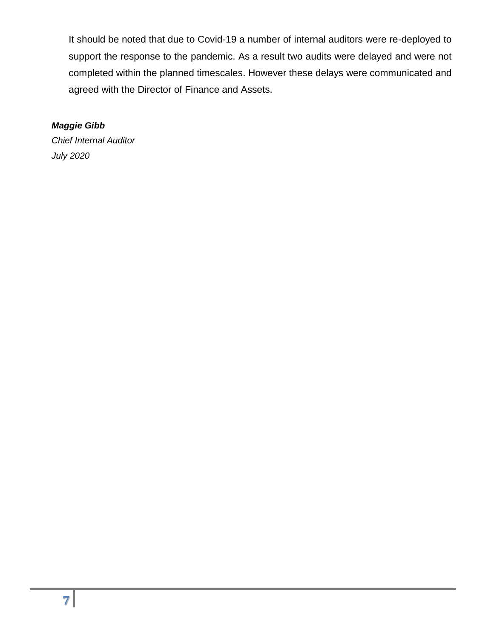It should be noted that due to Covid-19 a number of internal auditors were re-deployed to support the response to the pandemic. As a result two audits were delayed and were not completed within the planned timescales. However these delays were communicated and agreed with the Director of Finance and Assets.

#### *Maggie Gibb*

*Chief Internal Auditor July 2020*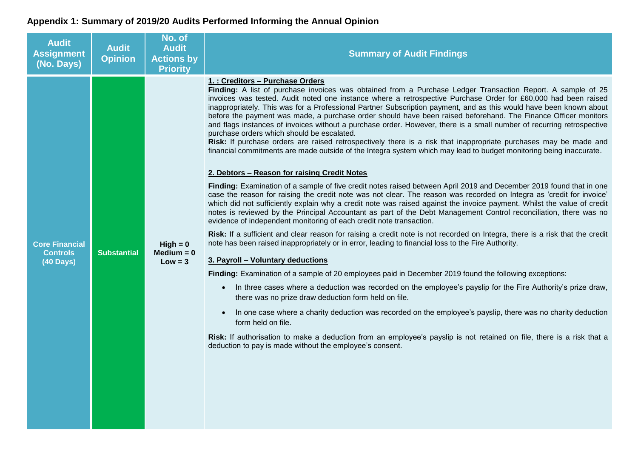### **Appendix 1: Summary of 2019/20 Audits Performed Informing the Annual Opinion**

| <b>Audit</b><br><b>Assignment</b><br>(No. Days)              | <b>Audit</b><br><b>Opinion</b> | No. of<br><b>Audit</b><br><b>Actions by</b><br><b>Priority</b> | <b>Summary of Audit Findings</b>                                                                                                                                                                                                                                                                                                                                                                                                                                                                                                                                                                                                                                                                                                                                                                                                                                                                                                                                                                                                                                                                                                                                                                                                                                                                                                                                                                                                                                                                                                                                                                                                                                                                                                                                                                                                                                                                                                                                                                                                                                                                                                                                                                                                                                                                                                                                                                                                                                    |
|--------------------------------------------------------------|--------------------------------|----------------------------------------------------------------|---------------------------------------------------------------------------------------------------------------------------------------------------------------------------------------------------------------------------------------------------------------------------------------------------------------------------------------------------------------------------------------------------------------------------------------------------------------------------------------------------------------------------------------------------------------------------------------------------------------------------------------------------------------------------------------------------------------------------------------------------------------------------------------------------------------------------------------------------------------------------------------------------------------------------------------------------------------------------------------------------------------------------------------------------------------------------------------------------------------------------------------------------------------------------------------------------------------------------------------------------------------------------------------------------------------------------------------------------------------------------------------------------------------------------------------------------------------------------------------------------------------------------------------------------------------------------------------------------------------------------------------------------------------------------------------------------------------------------------------------------------------------------------------------------------------------------------------------------------------------------------------------------------------------------------------------------------------------------------------------------------------------------------------------------------------------------------------------------------------------------------------------------------------------------------------------------------------------------------------------------------------------------------------------------------------------------------------------------------------------------------------------------------------------------------------------------------------------|
| <b>Core Financial</b><br><b>Controls</b><br><b>(40 Days)</b> | <b>Substantial</b>             | $High = 0$<br>$Median = 0$<br>$Low = 3$                        | 1. : Creditors - Purchase Orders<br>Finding: A list of purchase invoices was obtained from a Purchase Ledger Transaction Report. A sample of 25<br>invoices was tested. Audit noted one instance where a retrospective Purchase Order for £60,000 had been raised<br>inappropriately. This was for a Professional Partner Subscription payment, and as this would have been known about<br>before the payment was made, a purchase order should have been raised beforehand. The Finance Officer monitors<br>and flags instances of invoices without a purchase order. However, there is a small number of recurring retrospective<br>purchase orders which should be escalated.<br>Risk: If purchase orders are raised retrospectively there is a risk that inappropriate purchases may be made and<br>financial commitments are made outside of the Integra system which may lead to budget monitoring being inaccurate.<br>2. Debtors - Reason for raising Credit Notes<br>Finding: Examination of a sample of five credit notes raised between April 2019 and December 2019 found that in one<br>case the reason for raising the credit note was not clear. The reason was recorded on Integra as 'credit for invoice'<br>which did not sufficiently explain why a credit note was raised against the invoice payment. Whilst the value of credit<br>notes is reviewed by the Principal Accountant as part of the Debt Management Control reconciliation, there was no<br>evidence of independent monitoring of each credit note transaction.<br>Risk: If a sufficient and clear reason for raising a credit note is not recorded on Integra, there is a risk that the credit<br>note has been raised inappropriately or in error, leading to financial loss to the Fire Authority.<br>3. Payroll - Voluntary deductions<br>Finding: Examination of a sample of 20 employees paid in December 2019 found the following exceptions:<br>In three cases where a deduction was recorded on the employee's payslip for the Fire Authority's prize draw,<br>$\bullet$<br>there was no prize draw deduction form held on file.<br>In one case where a charity deduction was recorded on the employee's payslip, there was no charity deduction<br>$\bullet$<br>form held on file.<br>Risk: If authorisation to make a deduction from an employee's payslip is not retained on file, there is a risk that a<br>deduction to pay is made without the employee's consent. |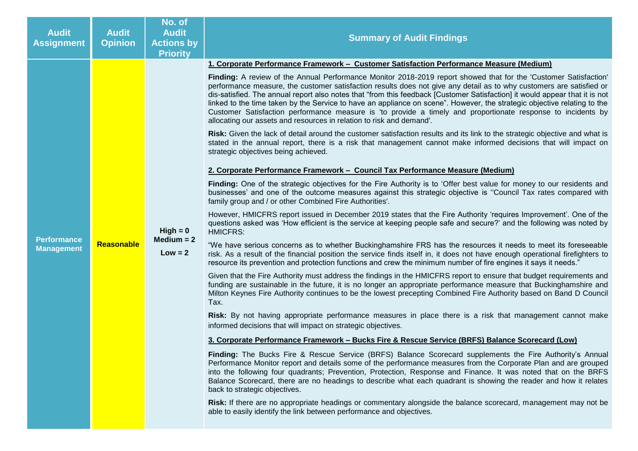| <b>Audit</b><br><b>Assignment</b>       | <b>Audit</b><br><b>Opinion</b>                                                                                             | No. of<br><b>Audit</b><br><b>Actions by</b><br><b>Priority</b>                                            | <b>Summary of Audit Findings</b>                                                                                                                                                                                                                                                                                                                                                                                                                                                                                                                                                                                                                                                            |
|-----------------------------------------|----------------------------------------------------------------------------------------------------------------------------|-----------------------------------------------------------------------------------------------------------|---------------------------------------------------------------------------------------------------------------------------------------------------------------------------------------------------------------------------------------------------------------------------------------------------------------------------------------------------------------------------------------------------------------------------------------------------------------------------------------------------------------------------------------------------------------------------------------------------------------------------------------------------------------------------------------------|
|                                         |                                                                                                                            |                                                                                                           | 1. Corporate Performance Framework - Customer Satisfaction Performance Measure (Medium)                                                                                                                                                                                                                                                                                                                                                                                                                                                                                                                                                                                                     |
|                                         |                                                                                                                            |                                                                                                           | Finding: A review of the Annual Performance Monitor 2018-2019 report showed that for the 'Customer Satisfaction'<br>performance measure, the customer satisfaction results does not give any detail as to why customers are satisfied or<br>dis-satisfied. The annual report also notes that "from this feedback [Customer Satisfaction] it would appear that it is not<br>linked to the time taken by the Service to have an appliance on scene". However, the strategic objective relating to the<br>Customer Satisfaction performance measure is 'to provide a timely and proportionate response to incidents by<br>allocating our assets and resources in relation to risk and demand'. |
|                                         |                                                                                                                            |                                                                                                           | Risk: Given the lack of detail around the customer satisfaction results and its link to the strategic objective and what is<br>stated in the annual report, there is a risk that management cannot make informed decisions that will impact on<br>strategic objectives being achieved.                                                                                                                                                                                                                                                                                                                                                                                                      |
|                                         |                                                                                                                            |                                                                                                           | 2. Corporate Performance Framework - Council Tax Performance Measure (Medium)                                                                                                                                                                                                                                                                                                                                                                                                                                                                                                                                                                                                               |
| <b>Performance</b><br><b>Management</b> |                                                                                                                            | $High = 0$<br>Medium $= 2$<br>$Low = 2$                                                                   | Finding: One of the strategic objectives for the Fire Authority is to 'Offer best value for money to our residents and<br>businesses' and one of the outcome measures against this strategic objective is "Council Tax rates compared with<br>family group and / or other Combined Fire Authorities'.                                                                                                                                                                                                                                                                                                                                                                                       |
|                                         |                                                                                                                            |                                                                                                           | However, HMICFRS report issued in December 2019 states that the Fire Authority 'requires Improvement'. One of the<br>questions asked was 'How efficient is the service at keeping people safe and secure?' and the following was noted by<br><b>HMICFRS:</b>                                                                                                                                                                                                                                                                                                                                                                                                                                |
|                                         | <b>Reasonable</b><br>Tax.<br>informed decisions that will impact on strategic objectives.<br>back to strategic objectives. |                                                                                                           | "We have serious concerns as to whether Buckinghamshire FRS has the resources it needs to meet its foreseeable<br>risk. As a result of the financial position the service finds itself in, it does not have enough operational firefighters to<br>resource its prevention and protection functions and crew the minimum number of fire engines it says it needs."                                                                                                                                                                                                                                                                                                                           |
|                                         |                                                                                                                            |                                                                                                           | Given that the Fire Authority must address the findings in the HMICFRS report to ensure that budget requirements and<br>funding are sustainable in the future, it is no longer an appropriate performance measure that Buckinghamshire and<br>Milton Keynes Fire Authority continues to be the lowest precepting Combined Fire Authority based on Band D Council                                                                                                                                                                                                                                                                                                                            |
|                                         |                                                                                                                            | Risk: By not having appropriate performance measures in place there is a risk that management cannot make |                                                                                                                                                                                                                                                                                                                                                                                                                                                                                                                                                                                                                                                                                             |
|                                         |                                                                                                                            | 3. Corporate Performance Framework – Bucks Fire & Rescue Service (BRFS) Balance Scorecard (Low)           |                                                                                                                                                                                                                                                                                                                                                                                                                                                                                                                                                                                                                                                                                             |
|                                         |                                                                                                                            |                                                                                                           | Finding: The Bucks Fire & Rescue Service (BRFS) Balance Scorecard supplements the Fire Authority's Annual<br>Performance Monitor report and details some of the performance measures from the Corporate Plan and are grouped<br>into the following four quadrants; Prevention, Protection, Response and Finance. It was noted that on the BRFS<br>Balance Scorecard, there are no headings to describe what each quadrant is showing the reader and how it relates                                                                                                                                                                                                                          |
|                                         |                                                                                                                            |                                                                                                           | Risk: If there are no appropriate headings or commentary alongside the balance scorecard, management may not be<br>able to easily identify the link between performance and objectives.                                                                                                                                                                                                                                                                                                                                                                                                                                                                                                     |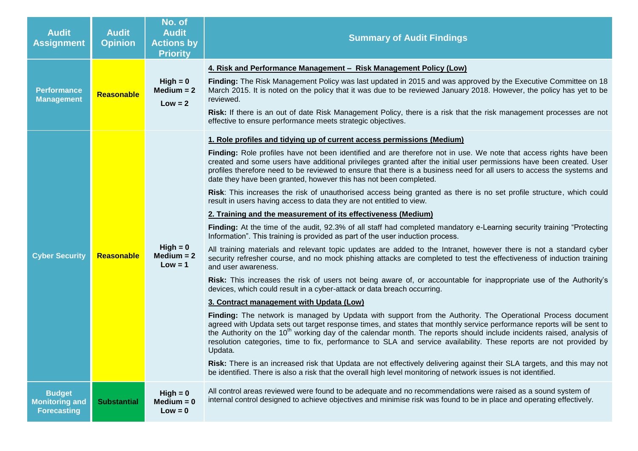| <b>Audit</b><br><b>Assignment</b>                            | <b>Audit</b><br><b>Opinion</b> | No. of<br><b>Audit</b><br><b>Actions by</b><br><b>Priority</b> | <b>Summary of Audit Findings</b>                                                                                                                                                                                                                                                                                                                                                                                                                                                                                                                                                                                                                                                                                                                                                                                                                                                                                                                                                                                                                                                                                                                                                                                                                                                                                                                                                                                                                                                                                                                                                                                                                                                                                                                                                                                                                                                                                                                                                                                                                                                                                                                                                                                                                                                 |
|--------------------------------------------------------------|--------------------------------|----------------------------------------------------------------|----------------------------------------------------------------------------------------------------------------------------------------------------------------------------------------------------------------------------------------------------------------------------------------------------------------------------------------------------------------------------------------------------------------------------------------------------------------------------------------------------------------------------------------------------------------------------------------------------------------------------------------------------------------------------------------------------------------------------------------------------------------------------------------------------------------------------------------------------------------------------------------------------------------------------------------------------------------------------------------------------------------------------------------------------------------------------------------------------------------------------------------------------------------------------------------------------------------------------------------------------------------------------------------------------------------------------------------------------------------------------------------------------------------------------------------------------------------------------------------------------------------------------------------------------------------------------------------------------------------------------------------------------------------------------------------------------------------------------------------------------------------------------------------------------------------------------------------------------------------------------------------------------------------------------------------------------------------------------------------------------------------------------------------------------------------------------------------------------------------------------------------------------------------------------------------------------------------------------------------------------------------------------------|
| <b>Performance</b><br><b>Management</b>                      | Reasonable                     | $High = 0$<br>Medium $= 2$<br>$Low = 2$                        | 4. Risk and Performance Management - Risk Management Policy (Low)<br>Finding: The Risk Management Policy was last updated in 2015 and was approved by the Executive Committee on 18<br>March 2015. It is noted on the policy that it was due to be reviewed January 2018. However, the policy has yet to be<br>reviewed.<br>Risk: If there is an out of date Risk Management Policy, there is a risk that the risk management processes are not<br>effective to ensure performance meets strategic objectives.                                                                                                                                                                                                                                                                                                                                                                                                                                                                                                                                                                                                                                                                                                                                                                                                                                                                                                                                                                                                                                                                                                                                                                                                                                                                                                                                                                                                                                                                                                                                                                                                                                                                                                                                                                   |
| <b>Cyber Security</b>                                        | Reasonable                     | $High = 0$<br>$Median = 2$<br>$Low = 1$                        | 1. Role profiles and tidying up of current access permissions (Medium)<br>Finding: Role profiles have not been identified and are therefore not in use. We note that access rights have been<br>created and some users have additional privileges granted after the initial user permissions have been created. User<br>profiles therefore need to be reviewed to ensure that there is a business need for all users to access the systems and<br>date they have been granted, however this has not been completed.<br>Risk: This increases the risk of unauthorised access being granted as there is no set profile structure, which could<br>result in users having access to data they are not entitled to view.<br>2. Training and the measurement of its effectiveness (Medium)<br>Finding: At the time of the audit, 92.3% of all staff had completed mandatory e-Learning security training "Protecting<br>Information". This training is provided as part of the user induction process.<br>All training materials and relevant topic updates are added to the Intranet, however there is not a standard cyber<br>security refresher course, and no mock phishing attacks are completed to test the effectiveness of induction training<br>and user awareness.<br>Risk: This increases the risk of users not being aware of, or accountable for inappropriate use of the Authority's<br>devices, which could result in a cyber-attack or data breach occurring.<br>3. Contract management with Updata (Low)<br>Finding: The network is managed by Updata with support from the Authority. The Operational Process document<br>agreed with Updata sets out target response times, and states that monthly service performance reports will be sent to<br>the Authority on the 10 <sup>th</sup> working day of the calendar month. The reports should include incidents raised, analysis of<br>resolution categories, time to fix, performance to SLA and service availability. These reports are not provided by<br>Updata.<br>Risk: There is an increased risk that Updata are not effectively delivering against their SLA targets, and this may not<br>be identified. There is also a risk that the overall high level monitoring of network issues is not identified. |
| <b>Budget</b><br><b>Monitoring and</b><br><b>Forecasting</b> | <b>Substantial</b>             | $High = 0$<br>$Median = 0$<br>$Low = 0$                        | All control areas reviewed were found to be adequate and no recommendations were raised as a sound system of<br>internal control designed to achieve objectives and minimise risk was found to be in place and operating effectively.                                                                                                                                                                                                                                                                                                                                                                                                                                                                                                                                                                                                                                                                                                                                                                                                                                                                                                                                                                                                                                                                                                                                                                                                                                                                                                                                                                                                                                                                                                                                                                                                                                                                                                                                                                                                                                                                                                                                                                                                                                            |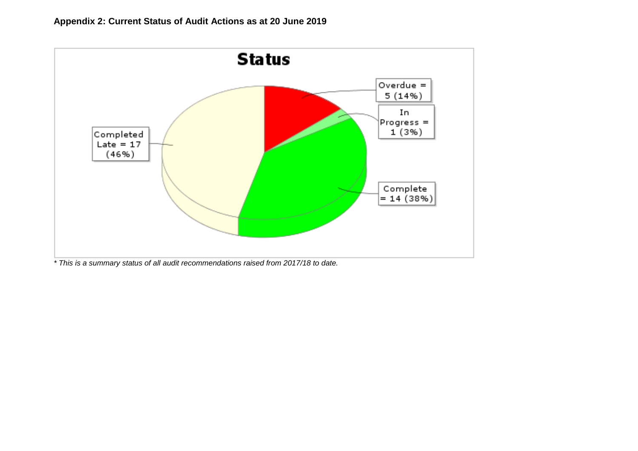

*\* This is a summary status of all audit recommendations raised from 2017/18 to date.*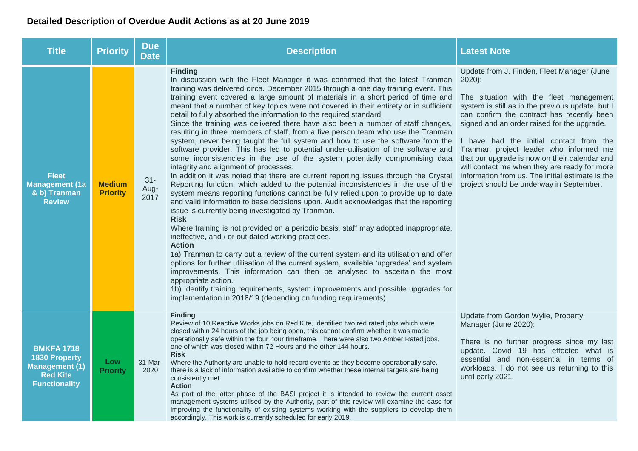### **Detailed Description of Overdue Audit Actions as at 20 June 2019**

| <b>Title</b>                                                                                                  | <b>Priority</b>                  | <b>Due</b><br><b>Date</b> | <b>Description</b>                                                                                                                                                                                                                                                                                                                                                                                                                                                                                                                                                                                                                                                                                                                                                                                                                                                                                                                                                                                                                                                                                                                                                                                                                                                                                                                                                                                                                                                                                                                                                                                                                                                                                                                                                                                                                                                                                                                                            | <b>Latest Note</b>                                                                                                                                                                                                                                                                                                                                                                                                                                                                                                                       |
|---------------------------------------------------------------------------------------------------------------|----------------------------------|---------------------------|---------------------------------------------------------------------------------------------------------------------------------------------------------------------------------------------------------------------------------------------------------------------------------------------------------------------------------------------------------------------------------------------------------------------------------------------------------------------------------------------------------------------------------------------------------------------------------------------------------------------------------------------------------------------------------------------------------------------------------------------------------------------------------------------------------------------------------------------------------------------------------------------------------------------------------------------------------------------------------------------------------------------------------------------------------------------------------------------------------------------------------------------------------------------------------------------------------------------------------------------------------------------------------------------------------------------------------------------------------------------------------------------------------------------------------------------------------------------------------------------------------------------------------------------------------------------------------------------------------------------------------------------------------------------------------------------------------------------------------------------------------------------------------------------------------------------------------------------------------------------------------------------------------------------------------------------------------------|------------------------------------------------------------------------------------------------------------------------------------------------------------------------------------------------------------------------------------------------------------------------------------------------------------------------------------------------------------------------------------------------------------------------------------------------------------------------------------------------------------------------------------------|
| <b>Fleet</b><br><b>Management (1a</b><br>& b) Tranman<br><b>Review</b>                                        | <b>Medium</b><br><b>Priority</b> | $31 -$<br>Aug-<br>2017    | <b>Finding</b><br>In discussion with the Fleet Manager it was confirmed that the latest Tranman<br>training was delivered circa. December 2015 through a one day training event. This<br>training event covered a large amount of materials in a short period of time and<br>meant that a number of key topics were not covered in their entirety or in sufficient<br>detail to fully absorbed the information to the required standard.<br>Since the training was delivered there have also been a number of staff changes,<br>resulting in three members of staff, from a five person team who use the Tranman<br>system, never being taught the full system and how to use the software from the<br>software provider. This has led to potential under-utilisation of the software and<br>some inconsistencies in the use of the system potentially compromising data<br>integrity and alignment of processes.<br>In addition it was noted that there are current reporting issues through the Crystal<br>Reporting function, which added to the potential inconsistencies in the use of the<br>system means reporting functions cannot be fully relied upon to provide up to date<br>and valid information to base decisions upon. Audit acknowledges that the reporting<br>issue is currently being investigated by Tranman.<br><b>Risk</b><br>Where training is not provided on a periodic basis, staff may adopted inappropriate,<br>ineffective, and / or out dated working practices.<br><b>Action</b><br>1a) Tranman to carry out a review of the current system and its utilisation and offer<br>options for further utilisation of the current system, available 'upgrades' and system<br>improvements. This information can then be analysed to ascertain the most<br>appropriate action.<br>1b) Identify training requirements, system improvements and possible upgrades for<br>implementation in 2018/19 (depending on funding requirements). | Update from J. Finden, Fleet Manager (June<br>$2020$ :<br>The situation with the fleet management<br>system is still as in the previous update, but I<br>can confirm the contract has recently been<br>signed and an order raised for the upgrade.<br>I have had the initial contact from the<br>Tranman project leader who informed me<br>that our upgrade is now on their calendar and<br>will contact me when they are ready for more<br>information from us. The initial estimate is the<br>project should be underway in September. |
| <b>BMKFA 1718</b><br><b>1830 Property</b><br><b>Management (1)</b><br><b>Red Kite</b><br><b>Functionality</b> | Low<br><b>Priority</b>           | $31$ -Mar-<br>2020        | <b>Finding</b><br>Review of 10 Reactive Works jobs on Red Kite, identified two red rated jobs which were<br>closed within 24 hours of the job being open, this cannot confirm whether it was made<br>operationally safe within the four hour timeframe. There were also two Amber Rated jobs,<br>one of which was closed within 72 Hours and the other 144 hours.<br><b>Risk</b><br>Where the Authority are unable to hold record events as they become operationally safe,<br>there is a lack of information available to confirm whether these internal targets are being<br>consistently met.<br><b>Action</b><br>As part of the latter phase of the BASI project it is intended to review the current asset<br>management systems utilised by the Authority, part of this review will examine the case for<br>improving the functionality of existing systems working with the suppliers to develop them<br>accordingly. This work is currently scheduled for early 2019.                                                                                                                                                                                                                                                                                                                                                                                                                                                                                                                                                                                                                                                                                                                                                                                                                                                                                                                                                                                 | Update from Gordon Wylie, Property<br>Manager (June 2020):<br>There is no further progress since my last<br>update. Covid 19 has effected what is<br>essential and non-essential in terms of<br>workloads. I do not see us returning to this<br>until early 2021.                                                                                                                                                                                                                                                                        |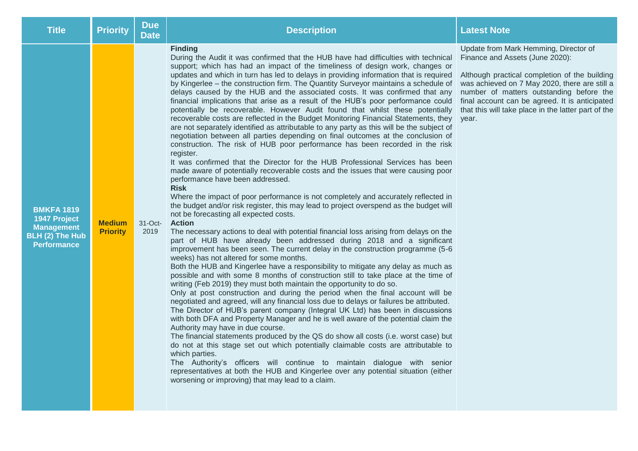| <b>Title</b>                                                                                    | <b>Priority</b>                  | <b>Due</b><br><b>Date</b> | <b>Description</b>                                                                                                                                                                                                                                                                                                                                                                                                                                                                                                                                                                                                                                                                                                                                                                                                                                                                                                                                                                                                                                                                                                                                                                                                                                                                                                                                                                                                                                                                                                                                                                                                                                                                                                                                                                                                                                                                                                                                                                                                                                                                                                                                                                                                                                                                                                                                                                                                                                                                                                                                                                                                                                                                                                                                                                                                                       | <b>Latest Note</b>                                                                                                                                                                                                                                                                                                                       |
|-------------------------------------------------------------------------------------------------|----------------------------------|---------------------------|------------------------------------------------------------------------------------------------------------------------------------------------------------------------------------------------------------------------------------------------------------------------------------------------------------------------------------------------------------------------------------------------------------------------------------------------------------------------------------------------------------------------------------------------------------------------------------------------------------------------------------------------------------------------------------------------------------------------------------------------------------------------------------------------------------------------------------------------------------------------------------------------------------------------------------------------------------------------------------------------------------------------------------------------------------------------------------------------------------------------------------------------------------------------------------------------------------------------------------------------------------------------------------------------------------------------------------------------------------------------------------------------------------------------------------------------------------------------------------------------------------------------------------------------------------------------------------------------------------------------------------------------------------------------------------------------------------------------------------------------------------------------------------------------------------------------------------------------------------------------------------------------------------------------------------------------------------------------------------------------------------------------------------------------------------------------------------------------------------------------------------------------------------------------------------------------------------------------------------------------------------------------------------------------------------------------------------------------------------------------------------------------------------------------------------------------------------------------------------------------------------------------------------------------------------------------------------------------------------------------------------------------------------------------------------------------------------------------------------------------------------------------------------------------------------------------------------------|------------------------------------------------------------------------------------------------------------------------------------------------------------------------------------------------------------------------------------------------------------------------------------------------------------------------------------------|
| <b>BMKFA 1819</b><br>1947 Project<br><b>Management</b><br>BLH (2) The Hub<br><b>Performance</b> | <b>Medium</b><br><b>Priority</b> | $31-Oct$ -<br>2019        | <b>Finding</b><br>During the Audit it was confirmed that the HUB have had difficulties with technical<br>support; which has had an impact of the timeliness of design work, changes or<br>updates and which in turn has led to delays in providing information that is required<br>by Kingerlee - the construction firm. The Quantity Surveyor maintains a schedule of<br>delays caused by the HUB and the associated costs. It was confirmed that any<br>financial implications that arise as a result of the HUB's poor performance could<br>potentially be recoverable. However Audit found that whilst these potentially<br>recoverable costs are reflected in the Budget Monitoring Financial Statements, they<br>are not separately identified as attributable to any party as this will be the subject of<br>negotiation between all parties depending on final outcomes at the conclusion of<br>construction. The risk of HUB poor performance has been recorded in the risk<br>register.<br>It was confirmed that the Director for the HUB Professional Services has been<br>made aware of potentially recoverable costs and the issues that were causing poor<br>performance have been addressed.<br><b>Risk</b><br>Where the impact of poor performance is not completely and accurately reflected in<br>the budget and/or risk register, this may lead to project overspend as the budget will<br>not be forecasting all expected costs.<br><b>Action</b><br>The necessary actions to deal with potential financial loss arising from delays on the<br>part of HUB have already been addressed during 2018 and a significant<br>improvement has been seen. The current delay in the construction programme (5-6<br>weeks) has not altered for some months.<br>Both the HUB and Kingerlee have a responsibility to mitigate any delay as much as<br>possible and with some 8 months of construction still to take place at the time of<br>writing (Feb 2019) they must both maintain the opportunity to do so.<br>Only at post construction and during the period when the final account will be<br>negotiated and agreed, will any financial loss due to delays or failures be attributed.<br>The Director of HUB's parent company (Integral UK Ltd) has been in discussions<br>with both DFA and Property Manager and he is well aware of the potential claim the<br>Authority may have in due course.<br>The financial statements produced by the QS do show all costs (i.e. worst case) but<br>do not at this stage set out which potentially claimable costs are attributable to<br>which parties.<br>The Authority's officers will continue to maintain dialogue with senior<br>representatives at both the HUB and Kingerlee over any potential situation (either<br>worsening or improving) that may lead to a claim. | Update from Mark Hemming, Director of<br>Finance and Assets (June 2020):<br>Although practical completion of the building<br>was achieved on 7 May 2020, there are still a<br>number of matters outstanding before the<br>final account can be agreed. It is anticipated<br>that this will take place in the latter part of the<br>year. |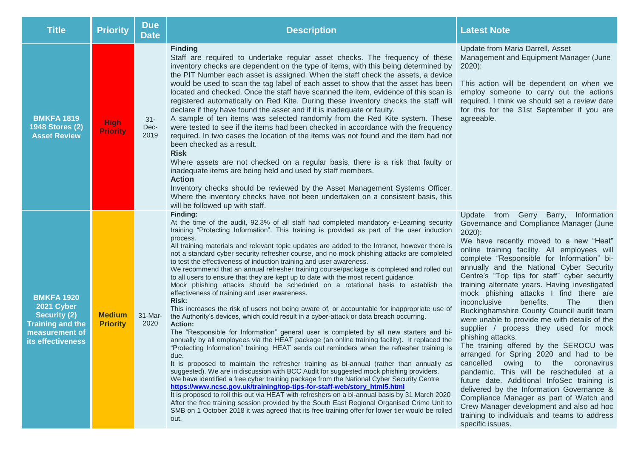| <b>Title</b>                                                                                                             | <b>Priority</b>                  | <b>Due</b><br><b>Date</b> | <b>Description</b>                                                                                                                                                                                                                                                                                                                                                                                                                                                                                                                                                                                                                                                                                                                                                                                                                                                                                                                                                                                                                                                                                                                                                                                                                                                                                                                                                                                                                                                                                                                                                                                                                                                                                                                                                                                                                                                                                                                                                                                                    | <b>Latest Note</b>                                                                                                                                                                                                                                                                                                                                                                                                                                                                                                                                                                                                                                                                                                                                                                                                                                                                                                                                                                                                                                                   |
|--------------------------------------------------------------------------------------------------------------------------|----------------------------------|---------------------------|-----------------------------------------------------------------------------------------------------------------------------------------------------------------------------------------------------------------------------------------------------------------------------------------------------------------------------------------------------------------------------------------------------------------------------------------------------------------------------------------------------------------------------------------------------------------------------------------------------------------------------------------------------------------------------------------------------------------------------------------------------------------------------------------------------------------------------------------------------------------------------------------------------------------------------------------------------------------------------------------------------------------------------------------------------------------------------------------------------------------------------------------------------------------------------------------------------------------------------------------------------------------------------------------------------------------------------------------------------------------------------------------------------------------------------------------------------------------------------------------------------------------------------------------------------------------------------------------------------------------------------------------------------------------------------------------------------------------------------------------------------------------------------------------------------------------------------------------------------------------------------------------------------------------------------------------------------------------------------------------------------------------------|----------------------------------------------------------------------------------------------------------------------------------------------------------------------------------------------------------------------------------------------------------------------------------------------------------------------------------------------------------------------------------------------------------------------------------------------------------------------------------------------------------------------------------------------------------------------------------------------------------------------------------------------------------------------------------------------------------------------------------------------------------------------------------------------------------------------------------------------------------------------------------------------------------------------------------------------------------------------------------------------------------------------------------------------------------------------|
| <b>BMKFA 1819</b><br><b>1948 Stores (2)</b><br><b>Asset Review</b>                                                       | <b>High</b><br><b>Priority</b>   | 31-<br>Dec-<br>2019       | <b>Finding</b><br>Staff are required to undertake regular asset checks. The frequency of these<br>inventory checks are dependent on the type of items, with this being determined by<br>the PIT Number each asset is assigned. When the staff check the assets, a device<br>would be used to scan the tag label of each asset to show that the asset has been<br>located and checked. Once the staff have scanned the item, evidence of this scan is<br>registered automatically on Red Kite. During these inventory checks the staff will<br>declare if they have found the asset and if it is inadequate or faulty.<br>A sample of ten items was selected randomly from the Red Kite system. These<br>were tested to see if the items had been checked in accordance with the frequency<br>required. In two cases the location of the items was not found and the item had not<br>been checked as a result.<br><b>Risk</b><br>Where assets are not checked on a regular basis, there is a risk that faulty or<br>inadequate items are being held and used by staff members.<br><b>Action</b><br>Inventory checks should be reviewed by the Asset Management Systems Officer.<br>Where the inventory checks have not been undertaken on a consistent basis, this<br>will be followed up with staff.                                                                                                                                                                                                                                                                                                                                                                                                                                                                                                                                                                                                                                                                                                                  | Update from Maria Darrell, Asset<br>Management and Equipment Manager (June<br>$2020$ :<br>This action will be dependent on when we<br>employ someone to carry out the actions<br>required. I think we should set a review date<br>for this for the 31st September if you are<br>agreeable.                                                                                                                                                                                                                                                                                                                                                                                                                                                                                                                                                                                                                                                                                                                                                                           |
| <b>BMKFA 1920</b><br>2021 Cyber<br><b>Security (2)</b><br><b>Training and the</b><br>measurement of<br>its effectiveness | <b>Medium</b><br><b>Priority</b> | 31-Mar-<br>2020           | Finding:<br>At the time of the audit, 92.3% of all staff had completed mandatory e-Learning security<br>training "Protecting Information". This training is provided as part of the user induction<br>process.<br>All training materials and relevant topic updates are added to the Intranet, however there is<br>not a standard cyber security refresher course, and no mock phishing attacks are completed<br>to test the effectiveness of induction training and user awareness.<br>We recommend that an annual refresher training course/package is completed and rolled out<br>to all users to ensure that they are kept up to date with the most recent guidance.<br>Mock phishing attacks should be scheduled on a rotational basis to establish the<br>effectiveness of training and user awareness.<br><b>Risk:</b><br>This increases the risk of users not being aware of, or accountable for inappropriate use of<br>the Authority's devices, which could result in a cyber-attack or data breach occurring.<br><b>Action:</b><br>The "Responsible for Information" general user is completed by all new starters and bi-<br>annually by all employees via the HEAT package (an online training facility). It replaced the<br>"Protecting Information" training. HEAT sends out reminders when the refresher training is<br>due.<br>It is proposed to maintain the refresher training as bi-annual (rather than annually as<br>suggested). We are in discussion with BCC Audit for suggested mock phishing providers.<br>We have identified a free cyber training package from the National Cyber Security Centre<br>https://www.ncsc.gov.uk/training/top-tips-for-staff-web/story_html5.html<br>It is proposed to roll this out via HEAT with refreshers on a bi-annual basis by 31 March 2020<br>After the free training session provided by the South East Regional Organised Crime Unit to<br>SMB on 1 October 2018 it was agreed that its free training offer for lower tier would be rolled<br>out. | Update from Gerry Barry,<br>Information<br>Governance and Compliance Manager (June<br>$2020$ :<br>We have recently moved to a new "Heat"<br>online training facility. All employees will<br>complete "Responsible for Information" bi-<br>annually and the National Cyber Security<br>Centre's "Top tips for staff" cyber security<br>training alternate years. Having investigated<br>mock phishing attacks I find there are<br>inconclusive<br>benefits.<br>The<br>then<br>Buckinghamshire County Council audit team<br>were unable to provide me with details of the<br>supplier / process they used for mock<br>phishing attacks.<br>The training offered by the SEROCU was<br>arranged for Spring 2020 and had to be<br>cancelled<br>owing to the coronavirus<br>pandemic. This will be rescheduled at a<br>future date. Additional InfoSec training is<br>delivered by the Information Governance &<br>Compliance Manager as part of Watch and<br>Crew Manager development and also ad hoc<br>training to individuals and teams to address<br>specific issues. |